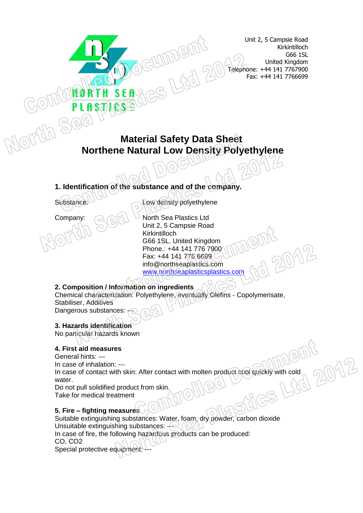Unit 2, 5 Campsie Road Kirkintilloch G66 1SL United Kingdom Telephone: +44 141 7767900 Fax: +44 141 7766699

# **Material Safety Data Sheet Northene Natural Low Density Polyethylene**

**1. Identification of the substance and of the company.**

Substance: Low density polyethylene

Company:  $\bigcirc$   $\bigcirc$   $\bigcirc$   $\bigcirc$   $\bigcirc$  North Sea Plastics Ltd Unit 2, 5 Campsie Road Kirkintilloch G66 1SL. United Kingdom Phone.: +44 141 776 7900 Fax: +44 141 776 6699 info@northseaplastics.com [www.northseaplasticsplastics.com](http://www.northseaplasticsplastics.com/)

# **2. Composition / Information on ingredients**

Chemical characterization: Polyethylene, eventually Olefins - Copolymerisate, Stabiliser, Additives Dangerous substances: -

#### **3. Hazards identification**

No particular hazards known

#### **4. First aid measures**

General hints: ---

In case of inhalation: ---

In case of contact with skin: After contact with molten product cool quickly with cold<br>water.<br>Do not pull solidified product from skin.<br>Take for medical to water.

Do not pull solidified product from skin. Take for medical treatment

#### **5. Fire – fighting measures**

Suitable extinguishing substances: Water, foam, dry powder, carbon dioxide Unsuitable extinguishing substances:  $-$ In case of fire, the following hazardous products can be produced: CO, CO2 Special protective equipment: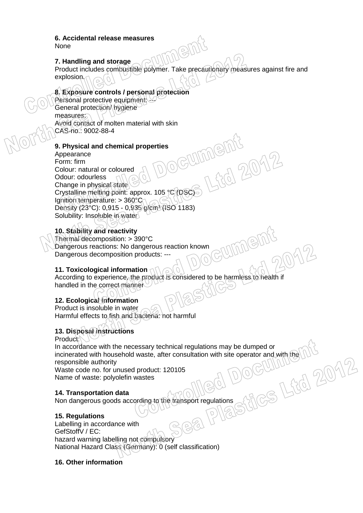#### **6. Accidental release measures** None

# **7. Handling and storage**

Product includes combustible polymer. Take precautionary measures against fire and explosion.

 $18116$ 

# **8. Exposure controls / personal protection**

Personal protective equipment: General protection hygiene measures. Avoid contact of molten material with skin CAS-no.: 9002-88-4

#### **9. Physical and chemical properties**

Appearance Form: firm Colour: natural or coloured Odour: odourless Change in physical state Crystalline melting point: approx. 105 °C (DSC) Ignition temperature: > 360°C Density (23°C): 0,915 - 0,935 g/cm³ (ISO 1183) Solubility: Insoluble in water

# **10. Stability and reactivity**

Thermal decomposition: > 390°C Dangerous reactions: No dangerous reaction known Dangerous decomposition products: ---

#### **11. Toxicological information**

According to experience, the product is considered to be harmless to health if handled in the correct manner

### **12. Ecological information**

Product is insoluble in water Harmful effects to fish and bacteria: not harmful

#### **13. Disposal instructions**

Product:

In accordance with the necessary technical regulations may be dumped or incinerated with household waste, after consultation with site operator and with the  $\bigcup_{\text{U}}\bigcup_{\text{int}}$  responsible authority<br>Waste code no. for unused product: 120105<br>Name of waste: polyolefin wastes<br>14. Transportation responsible authority

Waste code no. for unused product: 120105 Name of waste: polyolefin wastes

#### **14. Transportation data**

Non dangerous goods according to the transport regulations

#### **15. Regulations**

Labelling in accordance with GefStoffV / EC: hazard warning labelling not compulsory National Hazard Class (Germany): 0 (self classification)

#### **16. Other information**